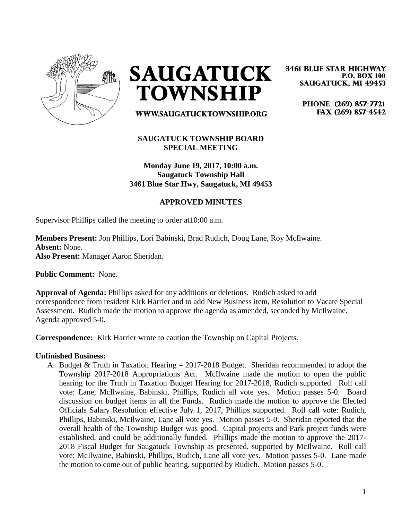

**SAUGATUCK TOWNSHIP** 

PHONE (269) 857-7721 FAX (269) 857-4542

**3461 BLUE STAR HIGHWAY** 

**SAUGATUCK, MI 49453** 

**P.O. BOX 100** 

# WWW.SAUGATUCKTOWNSHIP.ORG

## **SAUGATUCK TOWNSHIP BOARD SPECIAL MEETING**

**Monday June 19, 2017, 10:00 a.m. Saugatuck Township Hall 3461 Blue Star Hwy, Saugatuck, MI 49453**

### **APPROVED MINUTES**

Supervisor Phillips called the meeting to order at10:00 a.m.

**Members Present:** Jon Phillips, Lori Babinski, Brad Rudich, Doug Lane, Roy McIlwaine. **Absent:** None. **Also Present:** Manager Aaron Sheridan.

**Public Comment:** None.

**Approval of Agenda:** Phillips asked for any additions or deletions. Rudich asked to add correspondence from resident Kirk Harrier and to add New Business item, Resolution to Vacate Special Assessment. Rudich made the motion to approve the agenda as amended, seconded by McIlwaine. Agenda approved 5-0.

**Correspondence:** Kirk Harrier wrote to caution the Township on Capital Projects.

#### **Unfinished Business:**

A. Budget & Truth in Taxation Hearing – 2017-2018 Budget. Sheridan recommended to adopt the Township 2017-2018 Appropriations Act. McIlwaine made the motion to open the public hearing for the Truth in Taxation Budget Hearing for 2017-2018, Rudich supported. Roll call vote: Lane, McIlwaine, Babinski, Phillips, Rudich all vote yes. Motion passes 5-0. Board discussion on budget items in all the Funds. Rudich made the motion to approve the Elected Officials Salary Resolution effective July 1, 2017, Phillips supported. Roll call vote: Rudich, Phillips, Babinski, McIlwaine, Lane all vote yes. Motion passes 5-0. Sheridan reported that the overall health of the Township Budget was good. Capital projects and Park project funds were established, and could be additionally funded. Phillips made the motion to approve the 2017- 2018 Fiscal Budget for Saugatuck Township as presented, supported by McIlwaine. Roll call vote: McIlwaine, Babinski, Phillips, Rudich, Lane all vote yes. Motion passes 5-0. Lane made the motion to come out of public hearing, supported by Rudich. Motion passes 5-0.